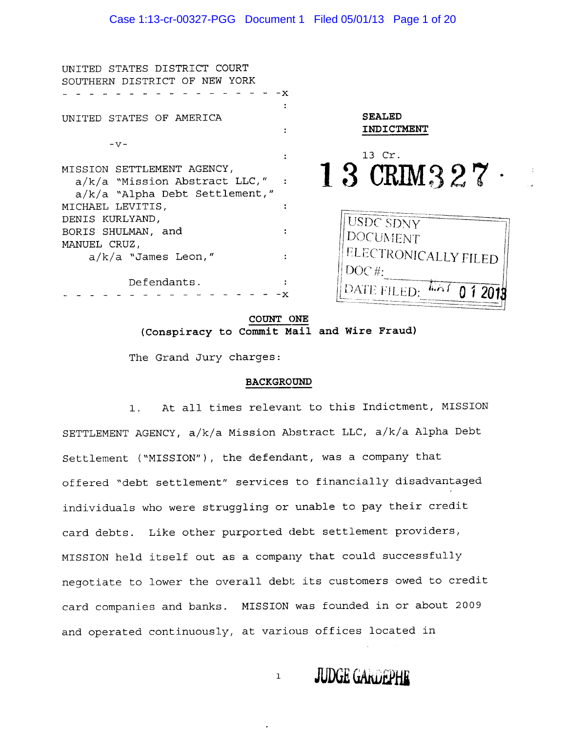| INITED STATES DISTRICT COURT<br>SOUTHERN DISTRICT OF NEW YORK                                                           | - x |                             |
|-------------------------------------------------------------------------------------------------------------------------|-----|-----------------------------|
| UNITED STATES OF AMERICA                                                                                                |     | <b>SEALED</b><br>INDICTMENT |
| $-V -$                                                                                                                  |     |                             |
|                                                                                                                         |     | 13 Cr.                      |
| MISSION SETTLEMENT AGENCY,<br>$a/k/a$ "Mission Abstract LLC," :<br>$a/k/a$ "Alpha Debt Settlement,"<br>MICHAEL LEVITIS, |     | 13 CRIM327                  |
| DENIS KURLYAND,                                                                                                         |     |                             |
| BORIS SHULMAN, and                                                                                                      |     | <b>USDC SDNY</b>            |
|                                                                                                                         |     | <b>DOCUMENT</b>             |
| MANUEL CRUZ,                                                                                                            |     |                             |
| $a/k/a$ "James Leon,"                                                                                                   |     | ELECTRONICALLY FILED        |
| Defendants.                                                                                                             |     | DOC#:<br>DATE FILED.        |
|                                                                                                                         |     |                             |

COUNT ONE (Conspiracy to Commit Mail and Wire Fraud)

The Grand Jury charges:

#### **BACKGROUND**

At all times relevant to this Indictment, MISSION  $1.$ SETTLEMENT AGENCY, a/k/a Mission Abstract LLC, a/k/a Alpha Debt Settlement ("MISSION"), the defendant, was a company that offered "debt settlement" services to financially disadvantaged individuals who were struggling or unable to pay their credit card debts. Like other purported debt settlement providers, MISSION held itself out as a company that could successfully negotiate to lower the overall debt its customers owed to credit card companies and banks. MISSION was founded in or about 2009 and operated continuously, at various offices located in

 $\mathbf 1$ 

**JUDGE GARDEPHE**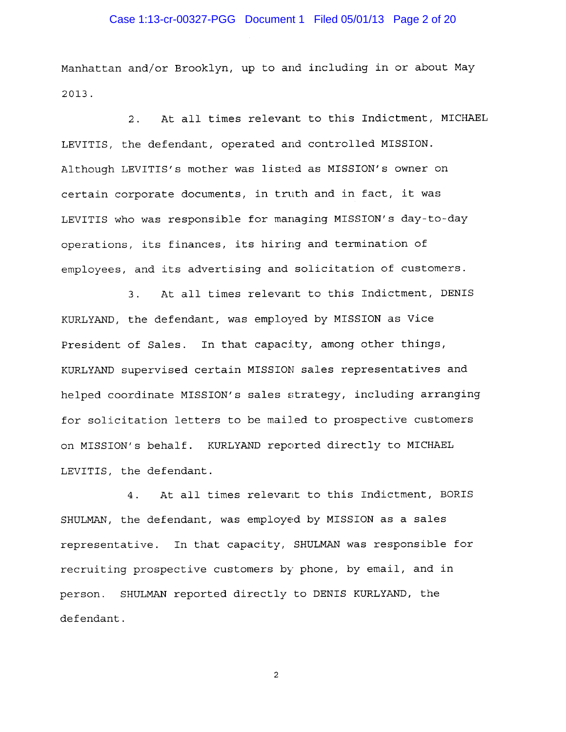## Case 1:13-cr-00327-PGG Document 1 Filed 05/01/13 Page 2 of 20

Manhattan and/or Brooklyn, up to and including in or about May 2013.

At all times relevant to this Indictment, MICHAEL  $2.$ LEVITIS, the defendant, operated and controlled MISSION. Although LEVITIS's mother was listed as MISSION's owner on certain corporate documents, in truth and in fact, it was LEVITIS who was responsible for managing MISSION's day-to-day operations, its finances, its hiring and termination of employees, and its advertising and solicitation of customers.

At all times relevant to this Indictment, DENIS  $3.$ KURLYAND, the defendant, was employed by MISSION as Vice President of Sales. In that capacity, among other things, KURLYAND supervised certain MISSION sales representatives and helped coordinate MISSION's sales strategy, including arranging for solicitation letters to be mailed to prospective customers on MISSION's behalf. KURLYAND reported directly to MICHAEL LEVITIS, the defendant.

At all times relevant to this Indictment, BORIS  $4$ . SHULMAN, the defendant, was employed by MISSION as a sales representative. In that capacity, SHULMAN was responsible for recruiting prospective customers by phone, by email, and in person. SHULMAN reported directly to DENIS KURLYAND, the defendant.

 $\overline{a}$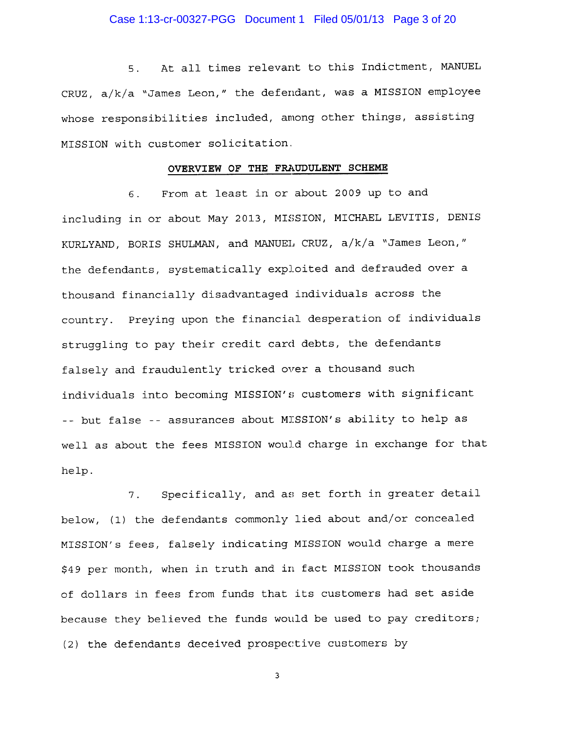#### Case 1:13-cr-00327-PGG Document 1 Filed 05/01/13 Page 3 of 20

At all times relevant to this Indictment, MANUEL 5. CRUZ, a/k/a "James Leon," the defendant, was a MISSION employee whose responsibilities included, among other things, assisting MISSION with customer solicitation.

## OVERVIEW OF THE FRAUDULENT SCHEME

From at least in or about 2009 up to and  $6.$ including in or about May 2013, MISSION, MICHAEL LEVITIS, DENIS KURLYAND, BORIS SHULMAN, and MANUEL CRUZ, a/k/a "James Leon," the defendants, systematically exploited and defrauded over a thousand financially disadvantaged individuals across the country. Preying upon the financial desperation of individuals struggling to pay their credit card debts, the defendants falsely and fraudulently tricked over a thousand such individuals into becoming MISSION's customers with significant -- but false -- assurances about MISSION's ability to help as well as about the fees MISSION would charge in exchange for that help.

Specifically, and as set forth in greater detail  $7.$ below, (1) the defendants commonly lied about and/or concealed MISSION's fees, falsely indicating MISSION would charge a mere \$49 per month, when in truth and in fact MISSION took thousands of dollars in fees from funds that its customers had set aside because they believed the funds would be used to pay creditors; (2) the defendants deceived prospective customers by

 $\overline{\mathbf{3}}$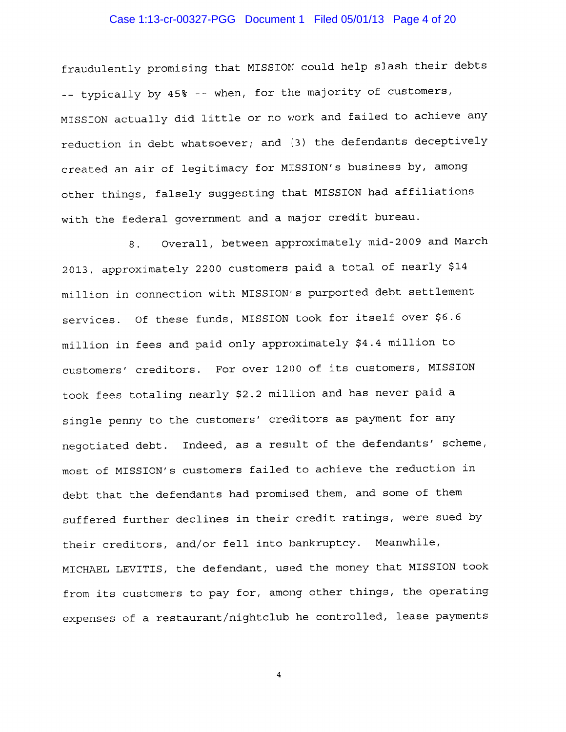## Case 1:13-cr-00327-PGG Document 1 Filed 05/01/13 Page 4 of 20

fraudulently promising that MISSION could help slash their debts -- typically by 45% -- when, for the majority of customers, MISSION actually did little or no work and failed to achieve any reduction in debt whatsoever; and (3) the defendants deceptively created an air of legitimacy for MISSION's business by, among other things, falsely suggesting that MISSION had affiliations with the federal government and a major credit bureau.

Overall, between approximately mid-2009 and March  $8<sub>1</sub>$ 2013, approximately 2200 customers paid a total of nearly \$14 million in connection with MISSION's purported debt settlement services. Of these funds, MISSION took for itself over \$6.6 million in fees and paid only approximately \$4.4 million to customers' creditors. For over 1200 of its customers, MISSION took fees totaling nearly \$2.2 million and has never paid a single penny to the customers' creditors as payment for any negotiated debt. Indeed, as a result of the defendants' scheme, most of MISSION's customers failed to achieve the reduction in debt that the defendants had promised them, and some of them suffered further declines in their credit ratings, were sued by their creditors, and/or fell into bankruptcy. Meanwhile, MICHAEL LEVITIS, the defendant, used the money that MISSION took from its customers to pay for, among other things, the operating expenses of a restaurant/nightclub he controlled, lease payments

 $\overline{4}$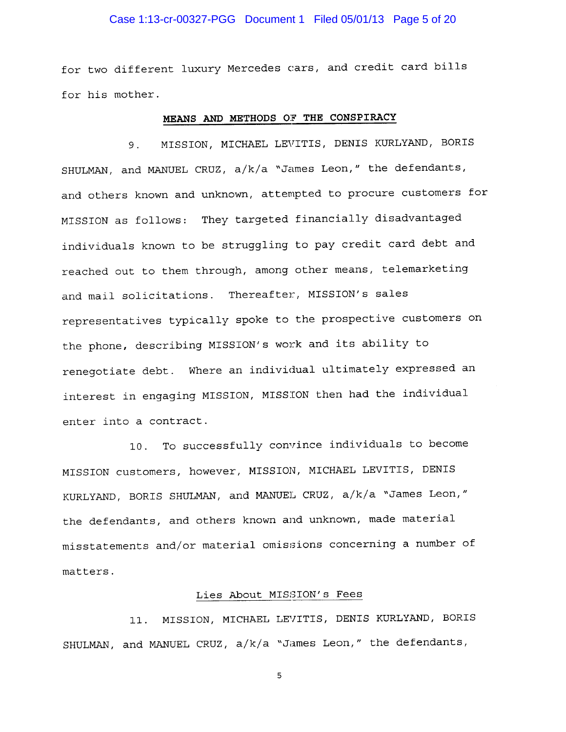#### Case 1:13-cr-00327-PGG Document 1 Filed 05/01/13 Page 5 of 20

for two different luxury Mercedes cars, and credit card bills for his mother.

## MEANS AND METHODS OF THE CONSPIRACY

MISSION, MICHAEL LEVITIS, DENIS KURLYAND, BORIS 9. SHULMAN, and MANUEL CRUZ, a/k/a "James Leon," the defendants, and others known and unknown, attempted to procure customers for MISSION as follows: They targeted financially disadvantaged individuals known to be struggling to pay credit card debt and reached out to them through, among other means, telemarketing and mail solicitations. Thereafter, MISSION's sales representatives typically spoke to the prospective customers on the phone, describing MISSION's work and its ability to renegotiate debt. Where an individual ultimately expressed an interest in engaging MISSION, MISSION then had the individual enter into a contract.

10. To successfully convince individuals to become MISSION customers, however, MISSION, MICHAEL LEVITIS, DENIS KURLYAND, BORIS SHULMAN, and MANUEL CRUZ, a/k/a "James Leon," the defendants, and others known and unknown, made material misstatements and/or material omissions concerning a number of matters.

#### Lies About MISSION's Fees

MISSION, MICHAEL LEVITIS, DENIS KURLYAND, BORIS  $11.$ SHULMAN, and MANUEL CRUZ, a/k/a "James Leon," the defendants,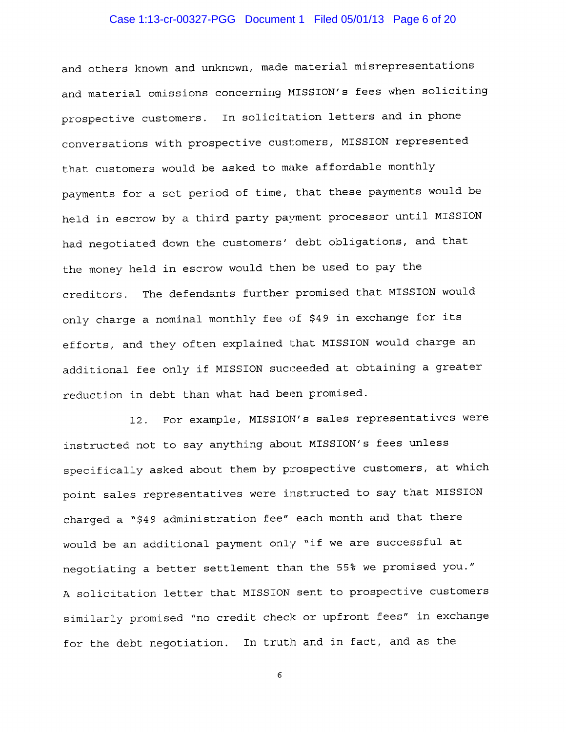## Case 1:13-cr-00327-PGG Document 1 Filed 05/01/13 Page 6 of 20

and others known and unknown, made material misrepresentations and material omissions concerning MISSION's fees when soliciting prospective customers. In solicitation letters and in phone conversations with prospective customers, MISSION represented that customers would be asked to make affordable monthly payments for a set period of time, that these payments would be held in escrow by a third party payment processor until MISSION had negotiated down the customers' debt obligations, and that the money held in escrow would then be used to pay the creditors. The defendants further promised that MISSION would only charge a nominal monthly fee of \$49 in exchange for its efforts, and they often explained that MISSION would charge an additional fee only if MISSION succeeded at obtaining a greater reduction in debt than what had been promised.

12. For example, MISSION's sales representatives were instructed not to say anything about MISSION's fees unless specifically asked about them by prospective customers, at which point sales representatives were instructed to say that MISSION charged a "\$49 administration fee" each month and that there would be an additional payment only "if we are successful at negotiating a better settlement than the 55% we promised you." A solicitation letter that MISSION sent to prospective customers similarly promised "no credit check or upfront fees" in exchange for the debt negotiation. In truth and in fact, and as the

 $\epsilon$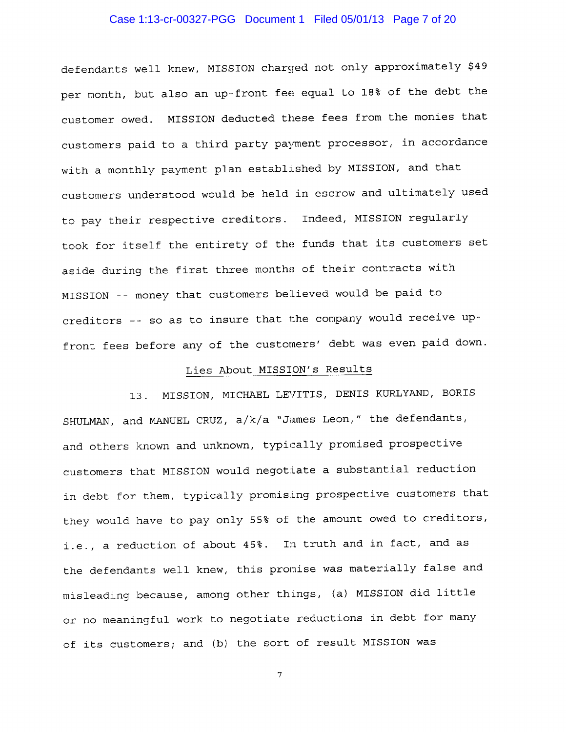## Case 1:13-cr-00327-PGG Document 1 Filed 05/01/13 Page 7 of 20

defendants well knew, MISSION charged not only approximately \$49 per month, but also an up-front fee equal to 18% of the debt the customer owed. MISSION deducted these fees from the monies that customers paid to a third party payment processor, in accordance with a monthly payment plan established by MISSION, and that customers understood would be held in escrow and ultimately used to pay their respective creditors. Indeed, MISSION regularly took for itself the entirety of the funds that its customers set aside during the first three months of their contracts with MISSION -- money that customers believed would be paid to creditors -- so as to insure that the company would receive upfront fees before any of the customers' debt was even paid down.

## Lies About MISSION's Results

MISSION, MICHAEL LEVITIS, DENIS KURLYAND, BORIS  $13.$ SHULMAN, and MANUEL CRUZ, a/k/a "James Leon," the defendants, and others known and unknown, typically promised prospective customers that MISSION would negotiate a substantial reduction in debt for them, typically promising prospective customers that they would have to pay only 55% of the amount owed to creditors, i.e., a reduction of about 45%. In truth and in fact, and as the defendants well knew, this promise was materially false and misleading because, among other things, (a) MISSION did little or no meaningful work to negotiate reductions in debt for many of its customers; and (b) the sort of result MISSION was

 $\overline{7}$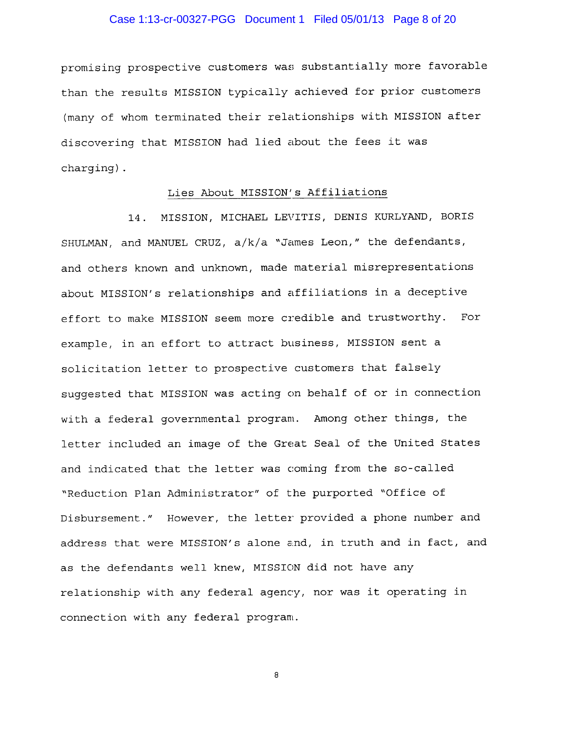#### Case 1:13-cr-00327-PGG Document 1 Filed 05/01/13 Page 8 of 20

promising prospective customers was substantially more favorable than the results MISSION typically achieved for prior customers (many of whom terminated their relationships with MISSION after discovering that MISSION had lied about the fees it was charging).

## Lies About MISSION's Affiliations

MISSION, MICHAEL LEVITIS, DENIS KURLYAND, BORIS  $14.$ SHULMAN, and MANUEL CRUZ, a/k/a "James Leon," the defendants, and others known and unknown, made material misrepresentations about MISSION's relationships and affiliations in a deceptive effort to make MISSION seem more credible and trustworthy. For example, in an effort to attract business, MISSION sent a solicitation letter to prospective customers that falsely suggested that MISSION was acting on behalf of or in connection with a federal governmental program. Among other things, the letter included an image of the Great Seal of the United States and indicated that the letter was coming from the so-called "Reduction Plan Administrator" of the purported "Office of Disbursement." However, the letter provided a phone number and address that were MISSION's alone and, in truth and in fact, and as the defendants well knew, MISSION did not have any relationship with any federal agency, nor was it operating in connection with any federal program.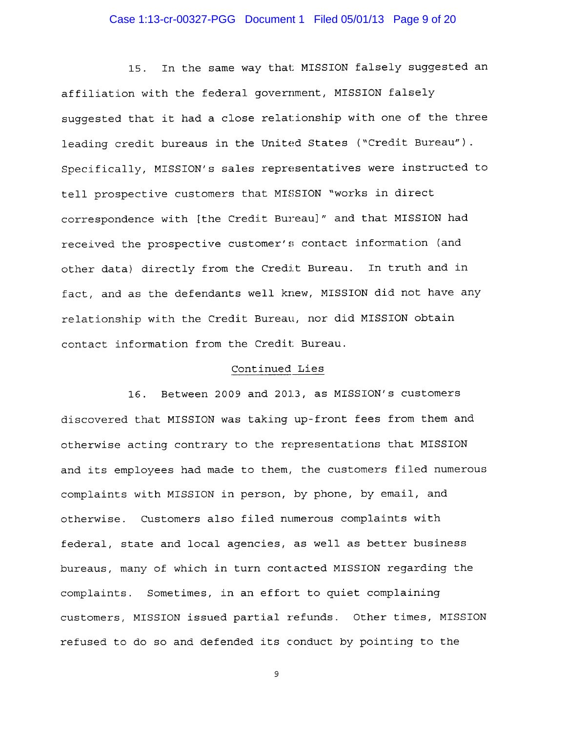## Case 1:13-cr-00327-PGG Document 1 Filed 05/01/13 Page 9 of 20

In the same way that MISSION falsely suggested an 15. affiliation with the federal government, MISSION falsely suggested that it had a close relationship with one of the three leading credit bureaus in the United States ("Credit Bureau"). Specifically, MISSION's sales representatives were instructed to tell prospective customers that MISSION "works in direct correspondence with [the Credit Bureau]" and that MISSION had received the prospective customer's contact information (and other data) directly from the Credit Bureau. In truth and in fact, and as the defendants well knew, MISSION did not have any relationship with the Credit Bureau, nor did MISSION obtain contact information from the Credit Bureau.

#### Continued Lies

Between 2009 and 2013, as MISSION's customers  $16.$ discovered that MISSION was taking up-front fees from them and otherwise acting contrary to the representations that MISSION and its employees had made to them, the customers filed numerous complaints with MISSION in person, by phone, by email, and otherwise. Customers also filed numerous complaints with federal, state and local agencies, as well as better business bureaus, many of which in turn contacted MISSION regarding the complaints. Sometimes, in an effort to quiet complaining customers, MISSION issued partial refunds. Other times, MISSION refused to do so and defended its conduct by pointing to the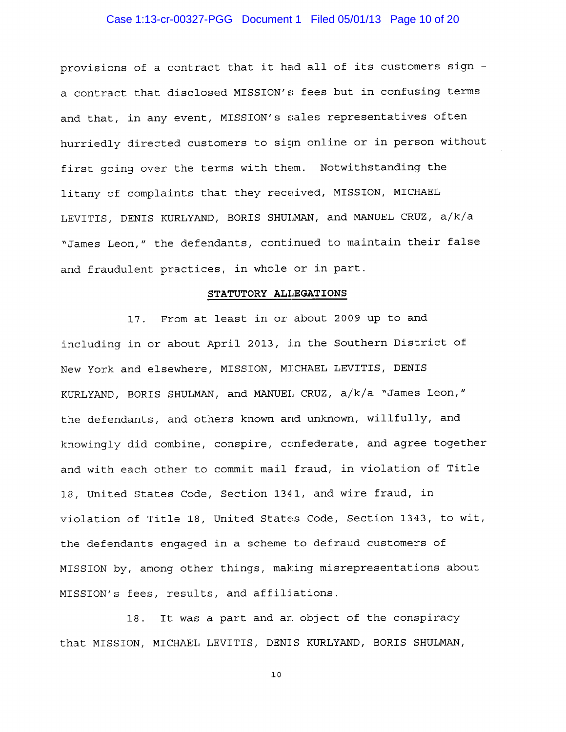#### Case 1:13-cr-00327-PGG Document 1 Filed 05/01/13 Page 10 of 20

provisions of a contract that it had all of its customers sign a contract that disclosed MISSION's fees but in confusing terms and that, in any event, MISSION's sales representatives often hurriedly directed customers to sign online or in person without first going over the terms with them. Notwithstanding the litany of complaints that they received, MISSION, MICHAEL LEVITIS, DENIS KURLYAND, BORIS SHULMAN, and MANUEL CRUZ, a/k/a "James Leon," the defendants, continued to maintain their false and fraudulent practices, in whole or in part.

#### STATUTORY ALLEGATIONS

17. From at least in or about 2009 up to and including in or about April 2013, in the Southern District of New York and elsewhere, MISSION, MICHAEL LEVITIS, DENIS KURLYAND, BORIS SHULMAN, and MANUEL CRUZ, a/k/a "James Leon," the defendants, and others known and unknown, willfully, and knowingly did combine, conspire, confederate, and agree together and with each other to commit mail fraud, in violation of Title 18, United States Code, Section 1341, and wire fraud, in violation of Title 18, United States Code, Section 1343, to wit, the defendants engaged in a scheme to defraud customers of MISSION by, among other things, making misrepresentations about MISSION's fees, results, and affiliations.

18. It was a part and ar object of the conspiracy that MISSION, MICHAEL LEVITIS, DENIS KURLYAND, BORIS SHULMAN,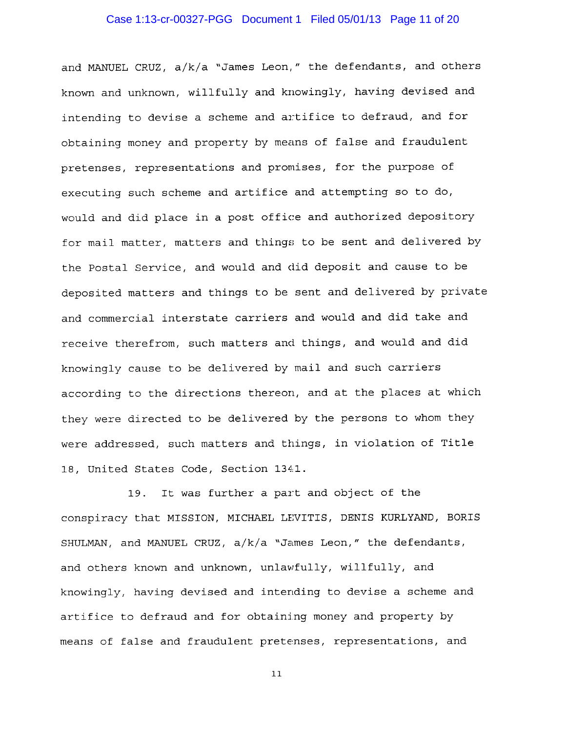#### Case 1:13-cr-00327-PGG Document 1 Filed 05/01/13 Page 11 of 20

and MANUEL CRUZ, a/k/a "James Leon," the defendants, and others known and unknown, willfully and knowingly, having devised and intending to devise a scheme and artifice to defraud, and for obtaining money and property by means of false and fraudulent pretenses, representations and promises, for the purpose of executing such scheme and artifice and attempting so to do, would and did place in a post office and authorized depository for mail matter, matters and things to be sent and delivered by the Postal Service, and would and did deposit and cause to be deposited matters and things to be sent and delivered by private and commercial interstate carriers and would and did take and receive therefrom, such matters and things, and would and did knowingly cause to be delivered by mail and such carriers according to the directions thereon, and at the places at which they were directed to be delivered by the persons to whom they were addressed, such matters and things, in violation of Title 18, United States Code, Section 1341.

It was further a part and object of the 19. conspiracy that MISSION, MICHAEL LEVITIS, DENIS KURLYAND, BORIS SHULMAN, and MANUEL CRUZ, a/k/a "James Leon," the defendants, and others known and unknown, unlawfully, willfully, and knowingly, having devised and intending to devise a scheme and artifice to defraud and for obtaining money and property by means of false and fraudulent pretenses, representations, and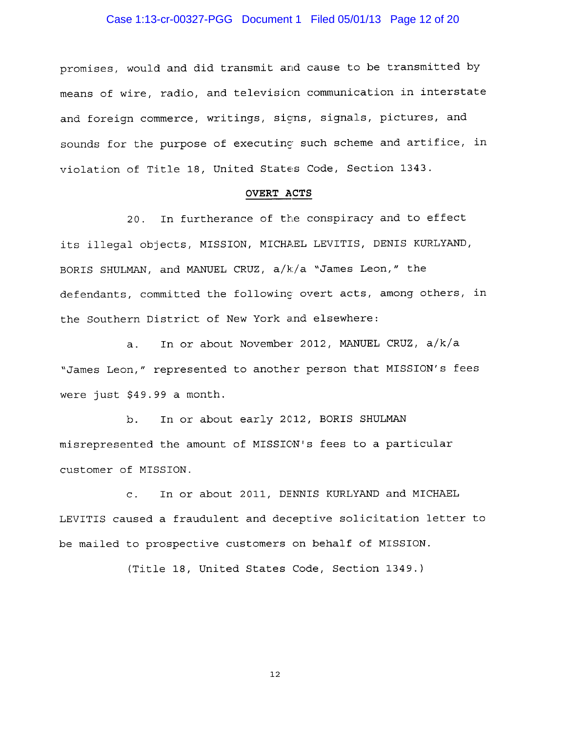## Case 1:13-cr-00327-PGG Document 1 Filed 05/01/13 Page 12 of 20

promises, would and did transmit and cause to be transmitted by means of wire, radio, and television communication in interstate and foreign commerce, writings, signs, signals, pictures, and sounds for the purpose of executing such scheme and artifice, in violation of Title 18, United States Code, Section 1343.

#### OVERT ACTS

In furtherance of the conspiracy and to effect  $20.$ its illegal objects, MISSION, MICHAEL LEVITIS, DENIS KURLYAND, BORIS SHULMAN, and MANUEL CRUZ, a/k/a "James Leon," the defendants, committed the following overt acts, among others, in the Southern District of New York and elsewhere:

In or about November 2012, MANUEL CRUZ, a/k/a  $a.$ "James Leon," represented to another person that MISSION's fees were just \$49.99 a month.

In or about early 2012, BORIS SHULMAN b. misrepresented the amount of MISSION's fees to a particular customer of MISSION.

In or about 2011, DENNIS KURLYAND and MICHAEL  $\mathsf{C}$ . LEVITIS caused a fraudulent and deceptive solicitation letter to be mailed to prospective customers on behalf of MISSION.

(Title 18, United States Code, Section 1349.)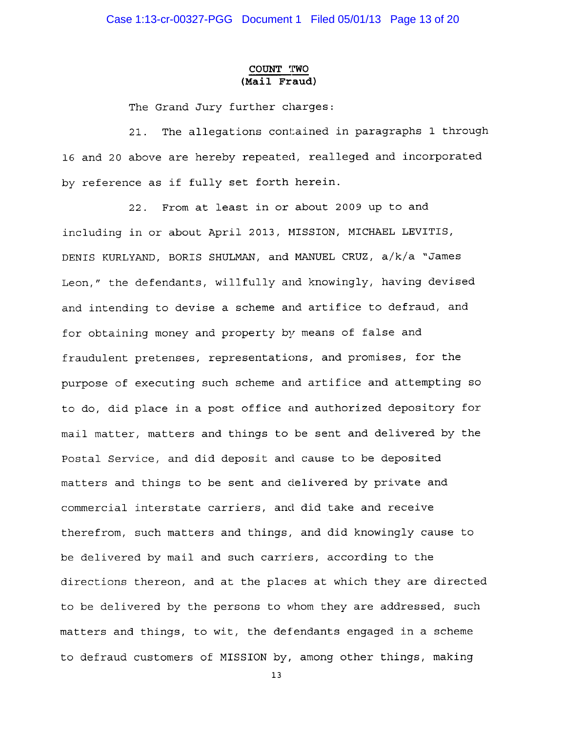#### COUNT TWO (Mail Fraud)

The Grand Jury further charges:

 $21.$ The allegations contained in paragraphs 1 through 16 and 20 above are hereby repeated, realleged and incorporated by reference as if fully set forth herein.

22. From at least in or about 2009 up to and including in or about April 2013, MISSION, MICHAEL LEVITIS, DENIS KURLYAND, BORIS SHULMAN, and MANUEL CRUZ, a/k/a "James Leon," the defendants, willfully and knowingly, having devised and intending to devise a scheme and artifice to defraud, and for obtaining money and property by means of false and fraudulent pretenses, representations, and promises, for the purpose of executing such scheme and artifice and attempting so to do, did place in a post office and authorized depository for mail matter, matters and things to be sent and delivered by the Postal Service, and did deposit and cause to be deposited matters and things to be sent and delivered by private and commercial interstate carriers, and did take and receive therefrom, such matters and things, and did knowingly cause to be delivered by mail and such carriers, according to the directions thereon, and at the places at which they are directed to be delivered by the persons to whom they are addressed, such matters and things, to wit, the defendants engaged in a scheme to defraud customers of MISSION by, among other things, making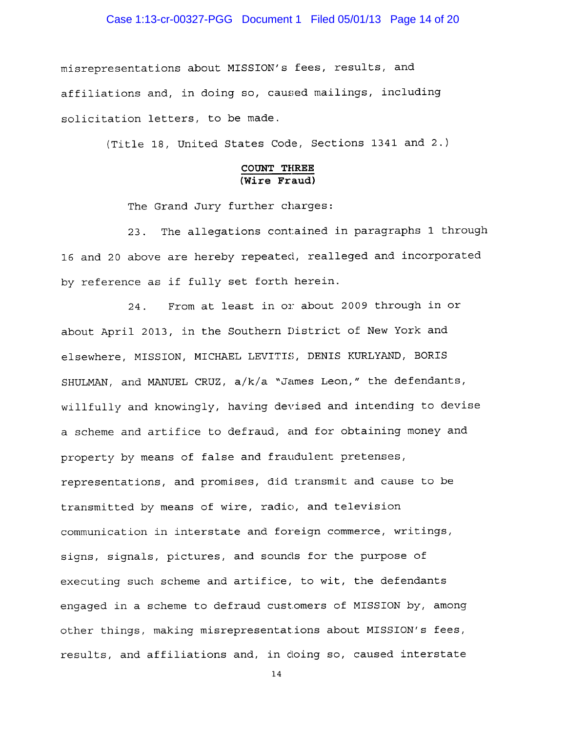#### Case 1:13-cr-00327-PGG Document 1 Filed 05/01/13 Page 14 of 20

misrepresentations about MISSION's fees, results, and affiliations and, in doing so, caused mailings, including solicitation letters, to be made.

(Title 18, United States Code, Sections 1341 and 2.)

#### COUNT THREE  $(\overline{\text{Wire } \text{Final}})$

The Grand Jury further charges:

23. The allegations contained in paragraphs 1 through 16 and 20 above are hereby repeated, realleged and incorporated by reference as if fully set forth herein.

From at least in or about 2009 through in or 24. about April 2013, in the Southern District of New York and elsewhere, MISSION, MICHAEL LEVITIS, DENIS KURLYAND, BORIS SHULMAN, and MANUEL CRUZ, a/k/a "James Leon," the defendants, willfully and knowingly, having devised and intending to devise a scheme and artifice to defraud, and for obtaining money and property by means of false and fraudulent pretenses, representations, and promises, did transmit and cause to be transmitted by means of wire, radio, and television communication in interstate and foreign commerce, writings, signs, signals, pictures, and sounds for the purpose of executing such scheme and artifice, to wit, the defendants engaged in a scheme to defraud customers of MISSION by, among other things, making misrepresentations about MISSION's fees, results, and affiliations and, in doing so, caused interstate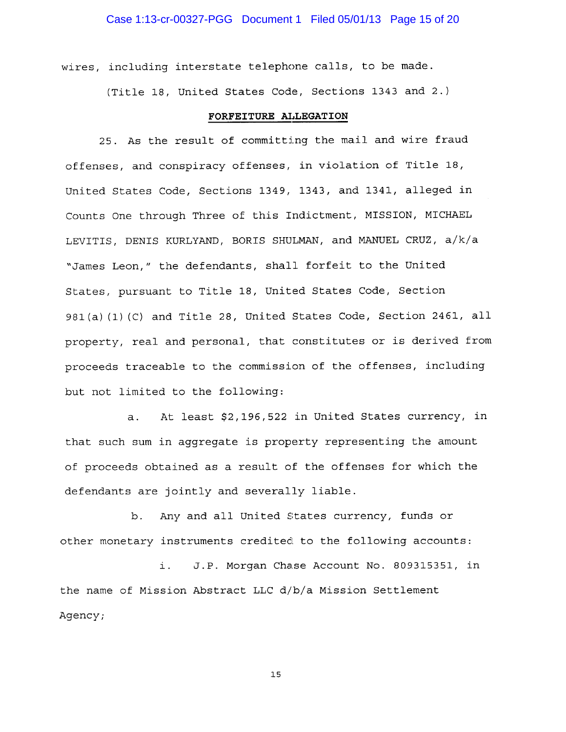wires, including interstate telephone calls, to be made.

(Title 18, United States Code, Sections 1343 and 2.)

#### FORFEITURE ALLEGATION

25. As the result of committing the mail and wire fraud offenses, and conspiracy offenses, in violation of Title 18, United States Code, Sections 1349, 1343, and 1341, alleged in Counts One through Three of this Indictment, MISSION, MICHAEL LEVITIS, DENIS KURLYAND, BORIS SHULMAN, and MANUEL CRUZ, a/k/a "James Leon," the defendants, shall forfeit to the United States, pursuant to Title 18, United States Code, Section 981(a)(1)(C) and Title 28, United States Code, Section 2461, all property, real and personal, that constitutes or is derived from proceeds traceable to the commission of the offenses, including but not limited to the following:

At least \$2,196,522 in United States currency, in  $a.$ that such sum in aqqreqate is property representing the amount of proceeds obtained as a result of the offenses for which the defendants are jointly and severally liable.

b. Any and all United States currency, funds or other monetary instruments credited to the following accounts:

i. J.P. Morgan Chase Account No. 809315351, in the name of Mission Abstract LLC d/b/a Mission Settlement Agency;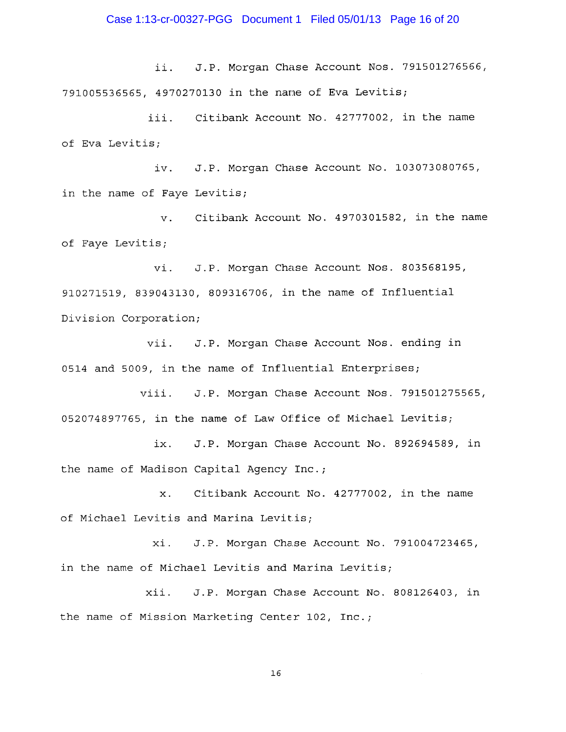J.P. Morgan Chase Account Nos. 791501276566, ii. 791005536565, 4970270130 in the name of Eva Levitis;

iii. Citibank Account No. 42777002, in the name of Eva Levitis;

iv. J.P. Morgan Chase Account No. 103073080765, in the name of Faye Levitis;

Citibank Account No. 4970301582, in the name v. of Faye Levitis;

vi. J.P. Morgan Chase Account Nos. 803568195, 910271519, 839043130, 809316706, in the name of Influential Division Corporation;

vii. J.P. Morgan Chase Account Nos. ending in 0514 and 5009, in the name of Influential Enterprises;

J.P. Morgan Chase Account Nos. 791501275565, viii. 052074897765, in the name of Law Office of Michael Levitis;

ix. J.P. Morgan Chase Account No. 892694589, in the name of Madison Capital Agency Inc.;

Citibank Account No. 42777002, in the name  $\mathbf{x}$ . of Michael Levitis and Marina Levitis;

J.P. Morgan Chase Account No. 791004723465, xi. in the name of Michael Levitis and Marina Levitis;

xii. J.P. Morgan Chase Account No. 808126403, in the name of Mission Marketing Center 102, Inc.;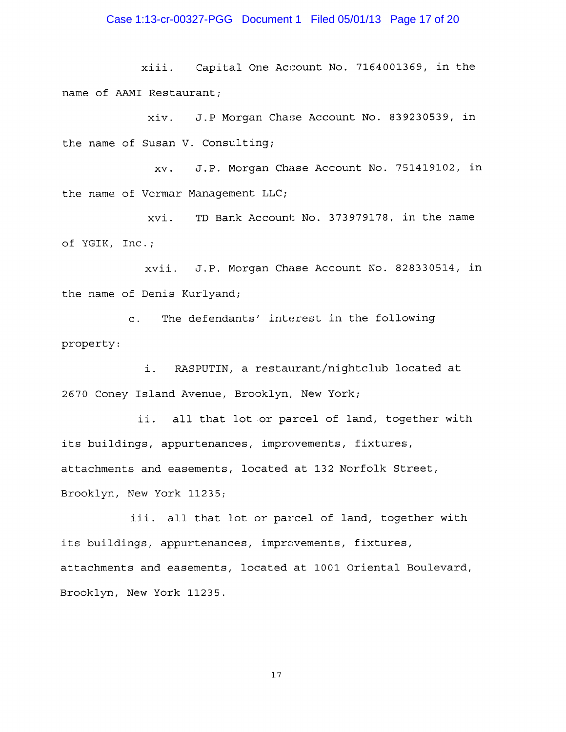## Case 1:13-cr-00327-PGG Document 1 Filed 05/01/13 Page 17 of 20

xiii. Capital One Account No. 7164001369, in the name of AAMI Restaurant;

xiv. J.P Morgan Chase Account No. 839230539, in the name of Susan V. Consulting;

J.P. Morgan Chase Account No. 751419102, in XV. the name of Vermar Management LLC;

xvi. TD Bank Account No. 373979178, in the name of YGIK, Inc.;

xvii. J.P. Morgan Chase Account No. 828330514, in the name of Denis Kurlyand;

The defendants' interest in the following  $\mathbf{C}$ . property:

RASPUTIN, a restaurant/nightclub located at i. 2670 Coney Island Avenue, Brooklyn, New York;

ii. all that lot or parcel of land, together with its buildings, appurtenances, improvements, fixtures, attachments and easements, located at 132 Norfolk Street, Brooklyn, New York 11235;

iii. all that lot or parcel of land, together with its buildings, appurtenances, improvements, fixtures, attachments and easements, located at 1001 Oriental Boulevard, Brooklyn, New York 11235.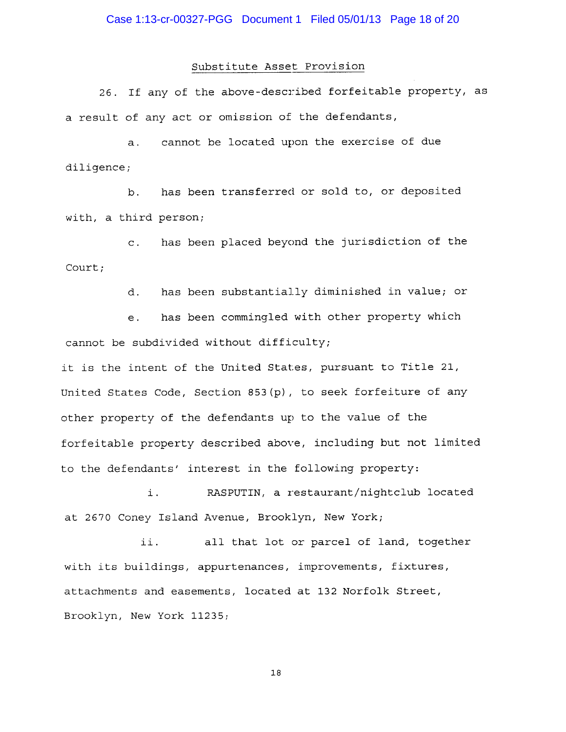#### Substitute Asset Provision

26. If any of the above-described forfeitable property, as a result of any act or omission of the defendants,

 $a.$ cannot be located upon the exercise of due diligence;

has been transferred or sold to, or deposited  $b$ . with, a third person;

has been placed beyond the jurisdiction of the  $\mathbf{C}$ . Court;

> has been substantially diminished in value; or d.

has been commingled with other property which  $e<sub>1</sub>$ cannot be subdivided without difficulty;

it is the intent of the United States, pursuant to Title 21, United States Code, Section 853 (p), to seek forfeiture of any other property of the defendants up to the value of the forfeitable property described above, including but not limited to the defendants' interest in the following property:

i. RASPUTIN, a restaurant/nightclub located at 2670 Coney Island Avenue, Brooklyn, New York;

all that lot or parcel of land, together ii. with its buildings, appurtenances, improvements, fixtures, attachments and easements, located at 132 Norfolk Street, Brooklyn, New York 11235;

 $18\,$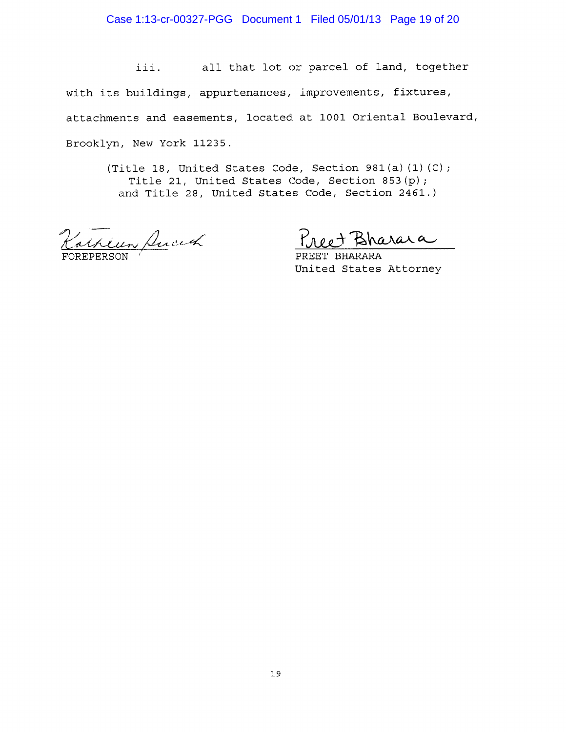# Case 1:13-cr-00327-PGG Document 1 Filed 05/01/13 Page 19 of 20

all that lot or parcel of land, together iii. with its buildings, appurtenances, improvements, fixtures, attachments and easements, located at 1001 Oriental Boulevard, Brooklyn, New York 11235.

(Title 18, United States Code, Section 981(a)(1)(C); Title 21, United States Code, Section 853(p); and Title 28, United States Code, Section 2461.)

arkeun Ancich

arara

**BHARARA** PREET United States Attorney